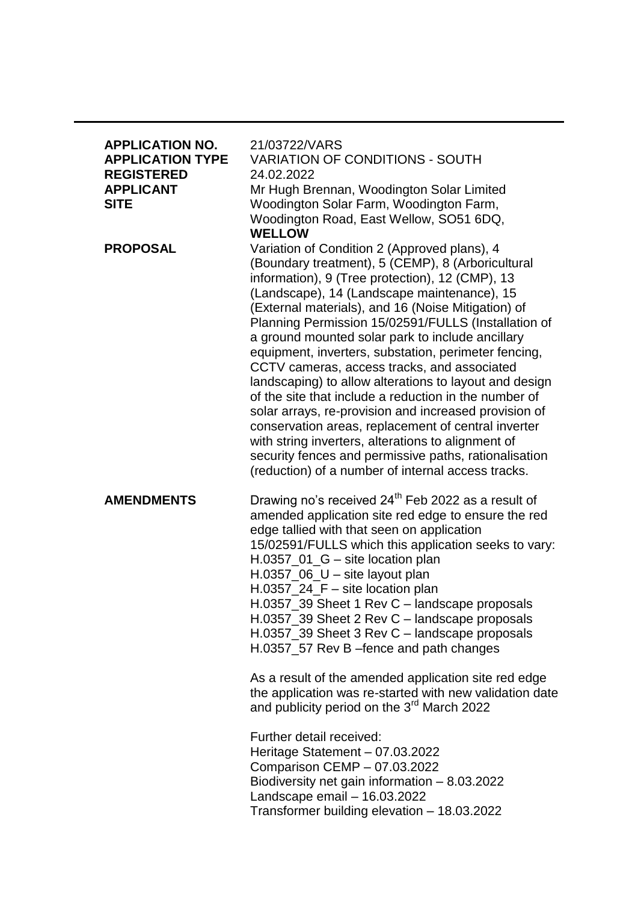| <b>APPLICATION NO.</b><br><b>APPLICATION TYPE</b><br><b>REGISTERED</b><br><b>APPLICANT</b><br><b>SITE</b> | 21/03722/VARS<br><b>VARIATION OF CONDITIONS - SOUTH</b><br>24.02.2022<br>Mr Hugh Brennan, Woodington Solar Limited<br>Woodington Solar Farm, Woodington Farm,<br>Woodington Road, East Wellow, SO51 6DQ,<br><b>WELLOW</b>                                                                                                                                                                                                                                                                                                                                                                                                                                                                                                                                                                                                                                                           |
|-----------------------------------------------------------------------------------------------------------|-------------------------------------------------------------------------------------------------------------------------------------------------------------------------------------------------------------------------------------------------------------------------------------------------------------------------------------------------------------------------------------------------------------------------------------------------------------------------------------------------------------------------------------------------------------------------------------------------------------------------------------------------------------------------------------------------------------------------------------------------------------------------------------------------------------------------------------------------------------------------------------|
| <b>PROPOSAL</b>                                                                                           | Variation of Condition 2 (Approved plans), 4<br>(Boundary treatment), 5 (CEMP), 8 (Arboricultural<br>information), 9 (Tree protection), 12 (CMP), 13<br>(Landscape), 14 (Landscape maintenance), 15<br>(External materials), and 16 (Noise Mitigation) of<br>Planning Permission 15/02591/FULLS (Installation of<br>a ground mounted solar park to include ancillary<br>equipment, inverters, substation, perimeter fencing,<br>CCTV cameras, access tracks, and associated<br>landscaping) to allow alterations to layout and design<br>of the site that include a reduction in the number of<br>solar arrays, re-provision and increased provision of<br>conservation areas, replacement of central inverter<br>with string inverters, alterations to alignment of<br>security fences and permissive paths, rationalisation<br>(reduction) of a number of internal access tracks. |
| <b>AMENDMENTS</b>                                                                                         | Drawing no's received 24 <sup>th</sup> Feb 2022 as a result of<br>amended application site red edge to ensure the red<br>edge tallied with that seen on application<br>15/02591/FULLS which this application seeks to vary:<br>$H.0357\_01\_G -$ site location plan<br>H.0357_06_U - site layout plan<br>H.0357_24_F - site location plan<br>H.0357_39 Sheet 1 Rev C - landscape proposals<br>H.0357_39 Sheet 2 Rev C - landscape proposals<br>H.0357_39 Sheet 3 Rev C - landscape proposals<br>H.0357_57 Rev B -fence and path changes                                                                                                                                                                                                                                                                                                                                             |
|                                                                                                           | As a result of the amended application site red edge<br>the application was re-started with new validation date<br>and publicity period on the 3 <sup>rd</sup> March 2022                                                                                                                                                                                                                                                                                                                                                                                                                                                                                                                                                                                                                                                                                                           |
|                                                                                                           | Further detail received:<br>Heritage Statement - 07.03.2022<br>Comparison CEMP - 07.03.2022<br>Biodiversity net gain information $-8.03.2022$<br>Landscape email - 16.03.2022<br>Transformer building elevation - 18.03.2022                                                                                                                                                                                                                                                                                                                                                                                                                                                                                                                                                                                                                                                        |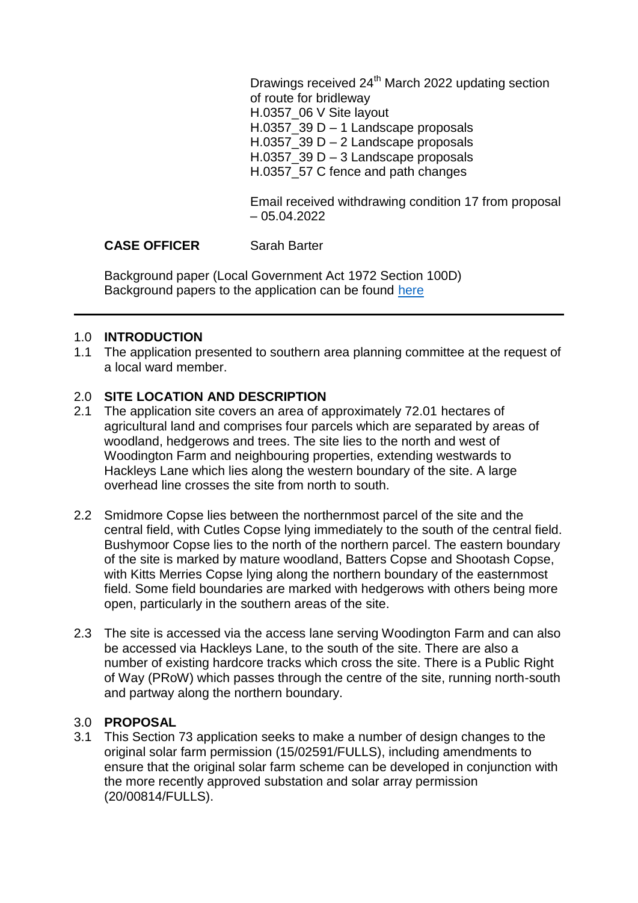Drawings received  $24<sup>th</sup>$  March 2022 updating section of route for bridleway H.0357\_06 V Site layout H.0357\_39 D – 1 Landscape proposals H.0357  $39 D - 2$  Landscape proposals H.0357\_39 D – 3 Landscape proposals H.0357\_57 C fence and path changes

Email received withdrawing condition 17 from proposal – 05.04.2022

# CASE OFFICER Sarah Barter

Background paper (Local Government Act 1972 Section 100D) Background papers to the application can be found [here](https://view-applications.testvalley.gov.uk/online-applications/simpleSearchResults.do?action=firstPage)

## 1.0 **INTRODUCTION**

1.1 The application presented to southern area planning committee at the request of a local ward member.

## 2.0 **SITE LOCATION AND DESCRIPTION**

- 2.1 The application site covers an area of approximately 72.01 hectares of agricultural land and comprises four parcels which are separated by areas of woodland, hedgerows and trees. The site lies to the north and west of Woodington Farm and neighbouring properties, extending westwards to Hackleys Lane which lies along the western boundary of the site. A large overhead line crosses the site from north to south.
- 2.2 Smidmore Copse lies between the northernmost parcel of the site and the central field, with Cutles Copse lying immediately to the south of the central field. Bushymoor Copse lies to the north of the northern parcel. The eastern boundary of the site is marked by mature woodland, Batters Copse and Shootash Copse, with Kitts Merries Copse lying along the northern boundary of the easternmost field. Some field boundaries are marked with hedgerows with others being more open, particularly in the southern areas of the site.
- 2.3 The site is accessed via the access lane serving Woodington Farm and can also be accessed via Hackleys Lane, to the south of the site. There are also a number of existing hardcore tracks which cross the site. There is a Public Right of Way (PRoW) which passes through the centre of the site, running north-south and partway along the northern boundary.

## 3.0 **PROPOSAL**

3.1 This Section 73 application seeks to make a number of design changes to the original solar farm permission (15/02591/FULLS), including amendments to ensure that the original solar farm scheme can be developed in conjunction with the more recently approved substation and solar array permission (20/00814/FULLS).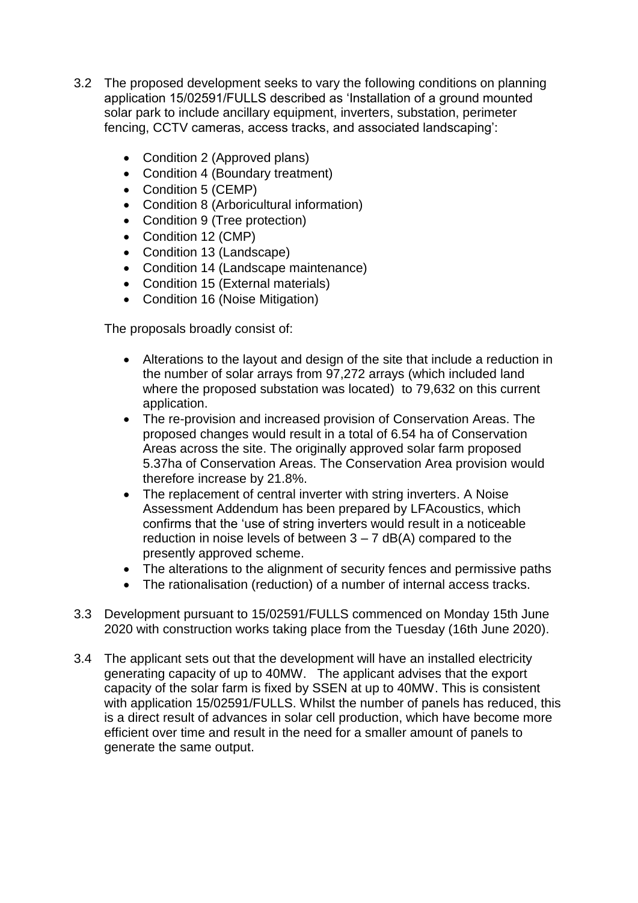- 3.2 The proposed development seeks to vary the following conditions on planning application 15/02591/FULLS described as 'Installation of a ground mounted solar park to include ancillary equipment, inverters, substation, perimeter fencing, CCTV cameras, access tracks, and associated landscaping':
	- Condition 2 (Approved plans)
	- Condition 4 (Boundary treatment)
	- Condition 5 (CEMP)
	- Condition 8 (Arboricultural information)
	- Condition 9 (Tree protection)
	- Condition 12 (CMP)
	- Condition 13 (Landscape)
	- Condition 14 (Landscape maintenance)
	- Condition 15 (External materials)
	- Condition 16 (Noise Mitigation)

The proposals broadly consist of:

- Alterations to the layout and design of the site that include a reduction in the number of solar arrays from 97,272 arrays (which included land where the proposed substation was located) to 79,632 on this current application.
- The re-provision and increased provision of Conservation Areas. The proposed changes would result in a total of 6.54 ha of Conservation Areas across the site. The originally approved solar farm proposed 5.37ha of Conservation Areas. The Conservation Area provision would therefore increase by 21.8%.
- The replacement of central inverter with string inverters. A Noise Assessment Addendum has been prepared by LFAcoustics, which confirms that the 'use of string inverters would result in a noticeable reduction in noise levels of between  $3 - 7$  dB(A) compared to the presently approved scheme.
- The alterations to the alignment of security fences and permissive paths
- The rationalisation (reduction) of a number of internal access tracks.
- 3.3 Development pursuant to 15/02591/FULLS commenced on Monday 15th June 2020 with construction works taking place from the Tuesday (16th June 2020).
- 3.4 The applicant sets out that the development will have an installed electricity generating capacity of up to 40MW. The applicant advises that the export capacity of the solar farm is fixed by SSEN at up to 40MW. This is consistent with application 15/02591/FULLS. Whilst the number of panels has reduced, this is a direct result of advances in solar cell production, which have become more efficient over time and result in the need for a smaller amount of panels to generate the same output.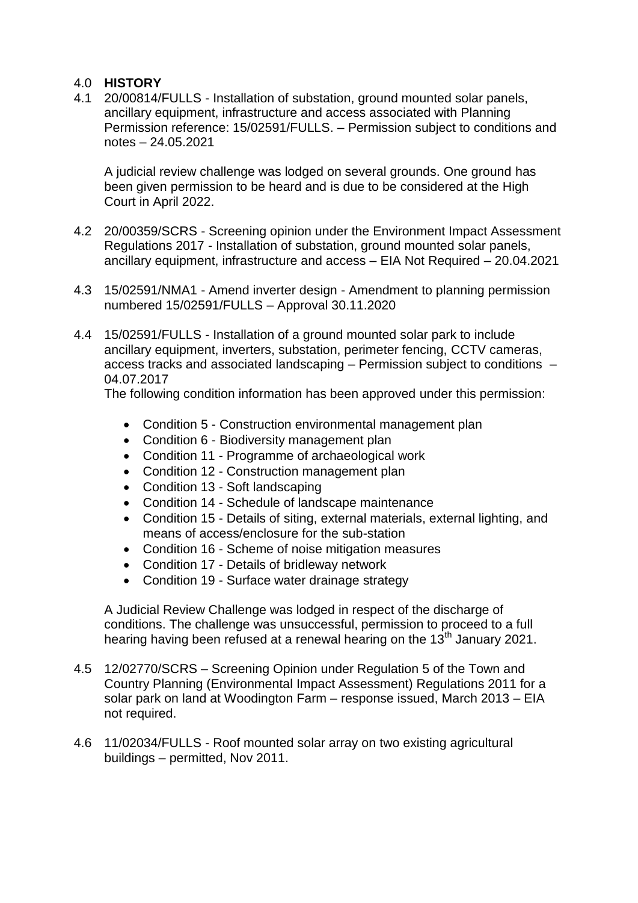## 4.0 **HISTORY**

4.1 20/00814/FULLS - Installation of substation, ground mounted solar panels, ancillary equipment, infrastructure and access associated with Planning Permission reference: 15/02591/FULLS. – Permission subject to conditions and notes – 24.05.2021

A judicial review challenge was lodged on several grounds. One ground has been given permission to be heard and is due to be considered at the High Court in April 2022.

- 4.2 20/00359/SCRS Screening opinion under the Environment Impact Assessment Regulations 2017 - Installation of substation, ground mounted solar panels, ancillary equipment, infrastructure and access – EIA Not Required – 20.04.2021
- 4.3 15/02591/NMA1 Amend inverter design Amendment to planning permission numbered 15/02591/FULLS – Approval 30.11.2020
- 4.4 15/02591/FULLS Installation of a ground mounted solar park to include ancillary equipment, inverters, substation, perimeter fencing, CCTV cameras, access tracks and associated landscaping – Permission subject to conditions – 04.07.2017

The following condition information has been approved under this permission:

- Condition 5 Construction environmental management plan
- Condition 6 Biodiversity management plan
- Condition 11 Programme of archaeological work
- Condition 12 Construction management plan
- Condition 13 Soft landscaping
- Condition 14 Schedule of landscape maintenance
- Condition 15 Details of siting, external materials, external lighting, and means of access/enclosure for the sub-station
- Condition 16 Scheme of noise mitigation measures
- Condition 17 Details of bridleway network
- Condition 19 Surface water drainage strategy

A Judicial Review Challenge was lodged in respect of the discharge of conditions. The challenge was unsuccessful, permission to proceed to a full hearing having been refused at a renewal hearing on the  $13<sup>th</sup>$  January 2021.

- 4.5 12/02770/SCRS Screening Opinion under Regulation 5 of the Town and Country Planning (Environmental Impact Assessment) Regulations 2011 for a solar park on land at Woodington Farm – response issued, March 2013 – EIA not required.
- 4.6 11/02034/FULLS Roof mounted solar array on two existing agricultural buildings – permitted, Nov 2011.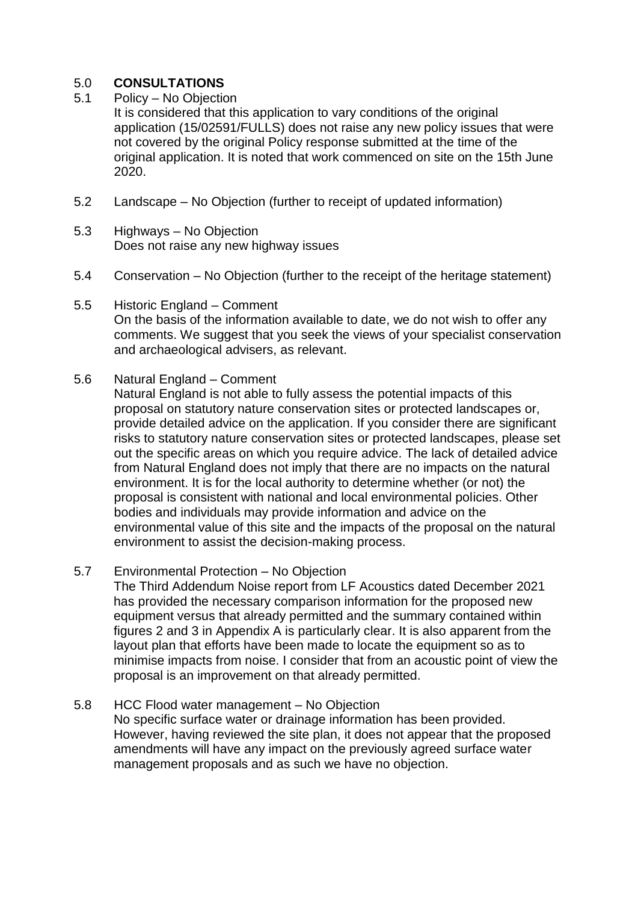# 5.0 **CONSULTATIONS**

5.1 Policy – No Objection

It is considered that this application to vary conditions of the original application (15/02591/FULLS) does not raise any new policy issues that were not covered by the original Policy response submitted at the time of the original application. It is noted that work commenced on site on the 15th June 2020.

- 5.2 Landscape No Objection (further to receipt of updated information)
- 5.3 Highways No Objection Does not raise any new highway issues
- 5.4 Conservation No Objection (further to the receipt of the heritage statement)
- 5.5 Historic England Comment On the basis of the information available to date, we do not wish to offer any comments. We suggest that you seek the views of your specialist conservation and archaeological advisers, as relevant.
- 5.6 Natural England Comment

Natural England is not able to fully assess the potential impacts of this proposal on statutory nature conservation sites or protected landscapes or, provide detailed advice on the application. If you consider there are significant risks to statutory nature conservation sites or protected landscapes, please set out the specific areas on which you require advice. The lack of detailed advice from Natural England does not imply that there are no impacts on the natural environment. It is for the local authority to determine whether (or not) the proposal is consistent with national and local environmental policies. Other bodies and individuals may provide information and advice on the environmental value of this site and the impacts of the proposal on the natural environment to assist the decision-making process.

- 5.7 Environmental Protection No Objection The Third Addendum Noise report from LF Acoustics dated December 2021 has provided the necessary comparison information for the proposed new equipment versus that already permitted and the summary contained within figures 2 and 3 in Appendix A is particularly clear. It is also apparent from the layout plan that efforts have been made to locate the equipment so as to minimise impacts from noise. I consider that from an acoustic point of view the proposal is an improvement on that already permitted.
- 5.8 HCC Flood water management No Objection No specific surface water or drainage information has been provided. However, having reviewed the site plan, it does not appear that the proposed amendments will have any impact on the previously agreed surface water management proposals and as such we have no objection.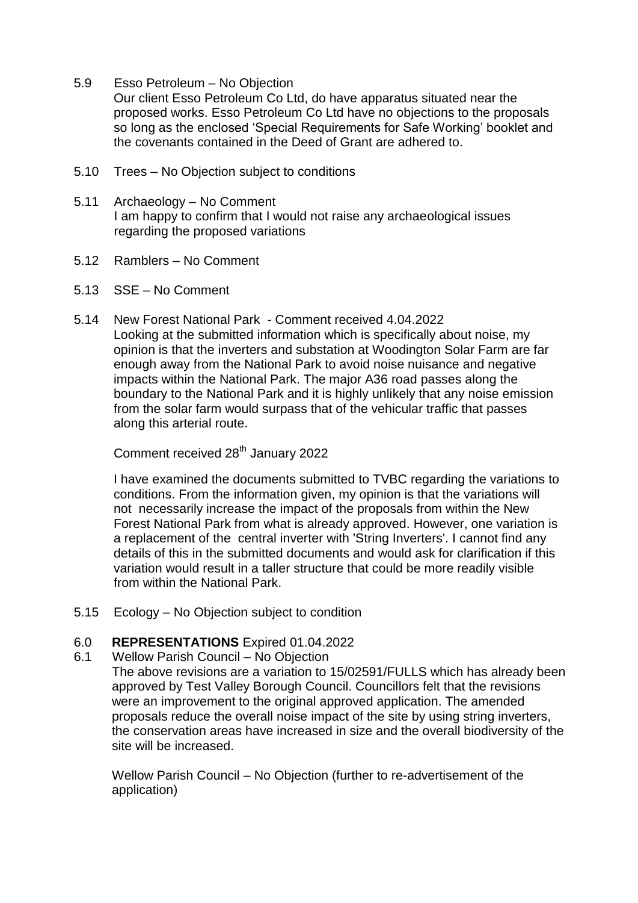5.9 Esso Petroleum – No Objection

Our client Esso Petroleum Co Ltd, do have apparatus situated near the proposed works. Esso Petroleum Co Ltd have no objections to the proposals so long as the enclosed 'Special Requirements for Safe Working' booklet and the covenants contained in the Deed of Grant are adhered to.

- 5.10 Trees No Objection subject to conditions
- 5.11 Archaeology No Comment I am happy to confirm that I would not raise any archaeological issues regarding the proposed variations
- 5.12 Ramblers No Comment
- 5.13 SSE No Comment
- 5.14 New Forest National Park Comment received 4.04.2022 Looking at the submitted information which is specifically about noise, my opinion is that the inverters and substation at Woodington Solar Farm are far enough away from the National Park to avoid noise nuisance and negative impacts within the National Park. The major A36 road passes along the boundary to the National Park and it is highly unlikely that any noise emission from the solar farm would surpass that of the vehicular traffic that passes along this arterial route.

Comment received 28<sup>th</sup> January 2022

I have examined the documents submitted to TVBC regarding the variations to conditions. From the information given, my opinion is that the variations will not necessarily increase the impact of the proposals from within the New Forest National Park from what is already approved. However, one variation is a replacement of the central inverter with 'String Inverters'. I cannot find any details of this in the submitted documents and would ask for clarification if this variation would result in a taller structure that could be more readily visible from within the National Park.

5.15 Ecology – No Objection subject to condition

# 6.0 **REPRESENTATIONS** Expired 01.04.2022

6.1 Wellow Parish Council – No Objection

The above revisions are a variation to 15/02591/FULLS which has already been approved by Test Valley Borough Council. Councillors felt that the revisions were an improvement to the original approved application. The amended proposals reduce the overall noise impact of the site by using string inverters, the conservation areas have increased in size and the overall biodiversity of the site will be increased.

Wellow Parish Council – No Objection (further to re-advertisement of the application)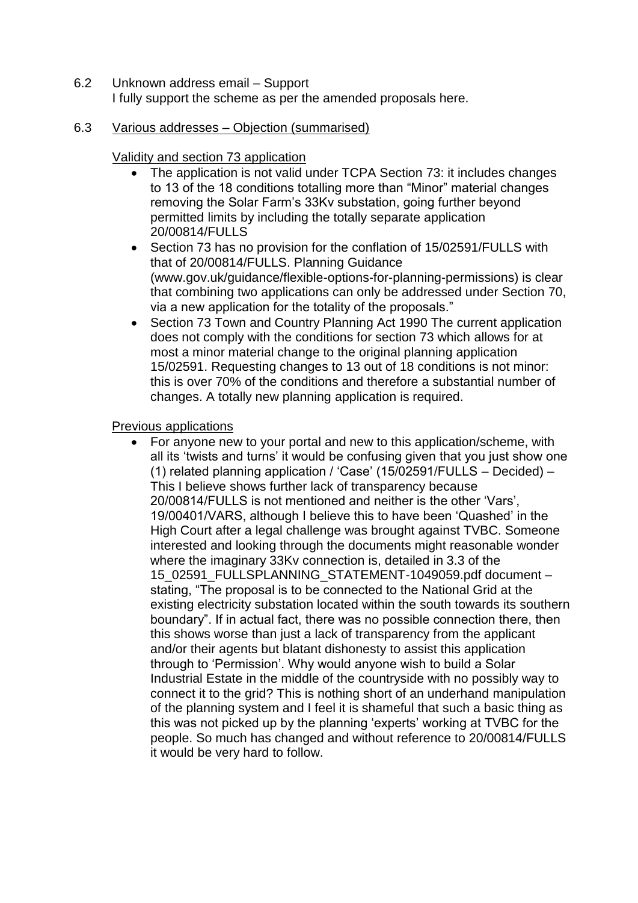- 6.2 Unknown address email Support I fully support the scheme as per the amended proposals here.
- 6.3 Various addresses Objection (summarised)

# Validity and section 73 application

- The application is not valid under TCPA Section 73: it includes changes to 13 of the 18 conditions totalling more than "Minor" material changes removing the Solar Farm's 33Kv substation, going further beyond permitted limits by including the totally separate application 20/00814/FULLS
- Section 73 has no provision for the conflation of 15/02591/FULLS with that of 20/00814/FULLS. Planning Guidance (www.gov.uk/guidance/flexible-options-for-planning-permissions) is clear that combining two applications can only be addressed under Section 70, via a new application for the totality of the proposals."
- Section 73 Town and Country Planning Act 1990 The current application does not comply with the conditions for section 73 which allows for at most a minor material change to the original planning application 15/02591. Requesting changes to 13 out of 18 conditions is not minor: this is over 70% of the conditions and therefore a substantial number of changes. A totally new planning application is required.

# Previous applications

 For anyone new to your portal and new to this application/scheme, with all its 'twists and turns' it would be confusing given that you just show one (1) related planning application / 'Case' (15/02591/FULLS – Decided) – This I believe shows further lack of transparency because 20/00814/FULLS is not mentioned and neither is the other 'Vars', 19/00401/VARS, although I believe this to have been 'Quashed' in the High Court after a legal challenge was brought against TVBC. Someone interested and looking through the documents might reasonable wonder where the imaginary 33Kv connection is, detailed in 3.3 of the 15\_02591\_FULLSPLANNING\_STATEMENT-1049059.pdf document – stating, "The proposal is to be connected to the National Grid at the existing electricity substation located within the south towards its southern boundary". If in actual fact, there was no possible connection there, then this shows worse than just a lack of transparency from the applicant and/or their agents but blatant dishonesty to assist this application through to 'Permission'. Why would anyone wish to build a Solar Industrial Estate in the middle of the countryside with no possibly way to connect it to the grid? This is nothing short of an underhand manipulation of the planning system and I feel it is shameful that such a basic thing as this was not picked up by the planning 'experts' working at TVBC for the people. So much has changed and without reference to 20/00814/FULLS it would be very hard to follow.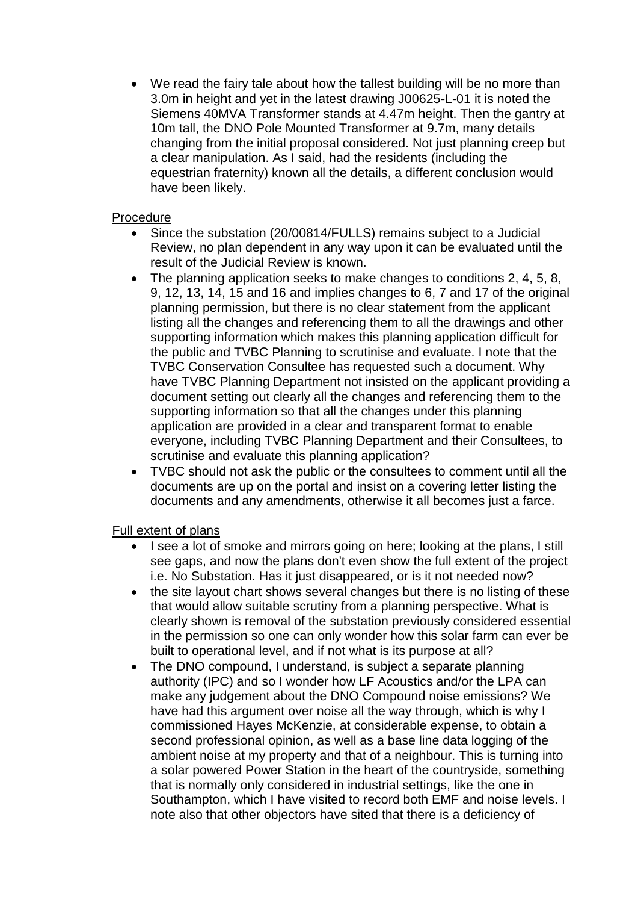We read the fairy tale about how the tallest building will be no more than 3.0m in height and yet in the latest drawing J00625-L-01 it is noted the Siemens 40MVA Transformer stands at 4.47m height. Then the gantry at 10m tall, the DNO Pole Mounted Transformer at 9.7m, many details changing from the initial proposal considered. Not just planning creep but a clear manipulation. As I said, had the residents (including the equestrian fraternity) known all the details, a different conclusion would have been likely.

## Procedure

- Since the substation (20/00814/FULLS) remains subject to a Judicial Review, no plan dependent in any way upon it can be evaluated until the result of the Judicial Review is known.
- The planning application seeks to make changes to conditions 2, 4, 5, 8, 9, 12, 13, 14, 15 and 16 and implies changes to 6, 7 and 17 of the original planning permission, but there is no clear statement from the applicant listing all the changes and referencing them to all the drawings and other supporting information which makes this planning application difficult for the public and TVBC Planning to scrutinise and evaluate. I note that the TVBC Conservation Consultee has requested such a document. Why have TVBC Planning Department not insisted on the applicant providing a document setting out clearly all the changes and referencing them to the supporting information so that all the changes under this planning application are provided in a clear and transparent format to enable everyone, including TVBC Planning Department and their Consultees, to scrutinise and evaluate this planning application?
- TVBC should not ask the public or the consultees to comment until all the documents are up on the portal and insist on a covering letter listing the documents and any amendments, otherwise it all becomes just a farce.

# Full extent of plans

- I see a lot of smoke and mirrors going on here; looking at the plans, I still see gaps, and now the plans don't even show the full extent of the project i.e. No Substation. Has it just disappeared, or is it not needed now?
- the site layout chart shows several changes but there is no listing of these that would allow suitable scrutiny from a planning perspective. What is clearly shown is removal of the substation previously considered essential in the permission so one can only wonder how this solar farm can ever be built to operational level, and if not what is its purpose at all?
- The DNO compound, I understand, is subject a separate planning authority (IPC) and so I wonder how LF Acoustics and/or the LPA can make any judgement about the DNO Compound noise emissions? We have had this argument over noise all the way through, which is why I commissioned Hayes McKenzie, at considerable expense, to obtain a second professional opinion, as well as a base line data logging of the ambient noise at my property and that of a neighbour. This is turning into a solar powered Power Station in the heart of the countryside, something that is normally only considered in industrial settings, like the one in Southampton, which I have visited to record both EMF and noise levels. I note also that other objectors have sited that there is a deficiency of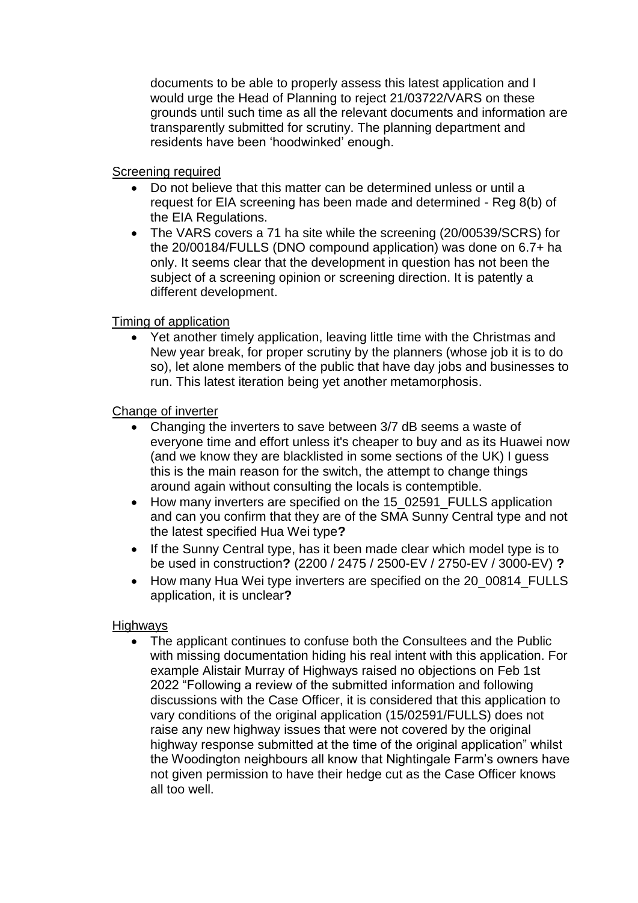documents to be able to properly assess this latest application and I would urge the Head of Planning to reject 21/03722/VARS on these grounds until such time as all the relevant documents and information are transparently submitted for scrutiny. The planning department and residents have been 'hoodwinked' enough.

## Screening required

- Do not believe that this matter can be determined unless or until a request for EIA screening has been made and determined - Reg 8(b) of the EIA Regulations.
- The VARS covers a 71 ha site while the screening (20/00539/SCRS) for the 20/00184/FULLS (DNO compound application) was done on 6.7+ ha only. It seems clear that the development in question has not been the subject of a screening opinion or screening direction. It is patently a different development.

## Timing of application

 Yet another timely application, leaving little time with the Christmas and New year break, for proper scrutiny by the planners (whose job it is to do so), let alone members of the public that have day jobs and businesses to run. This latest iteration being yet another metamorphosis.

## Change of inverter

- Changing the inverters to save between 3/7 dB seems a waste of everyone time and effort unless it's cheaper to buy and as its Huawei now (and we know they are blacklisted in some sections of the UK) I guess this is the main reason for the switch, the attempt to change things around again without consulting the locals is contemptible.
- How many inverters are specified on the 15 02591 FULLS application and can you confirm that they are of the SMA Sunny Central type and not the latest specified Hua Wei type**?**
- If the Sunny Central type, has it been made clear which model type is to be used in construction**?** (2200 / 2475 / 2500-EV / 2750-EV / 3000-EV) **?**
- How many Hua Wei type inverters are specified on the 20 00814 FULLS application, it is unclear**?**

## Highways

• The applicant continues to confuse both the Consultees and the Public with missing documentation hiding his real intent with this application. For example Alistair Murray of Highways raised no objections on Feb 1st 2022 "Following a review of the submitted information and following discussions with the Case Officer, it is considered that this application to vary conditions of the original application (15/02591/FULLS) does not raise any new highway issues that were not covered by the original highway response submitted at the time of the original application" whilst the Woodington neighbours all know that Nightingale Farm's owners have not given permission to have their hedge cut as the Case Officer knows all too well.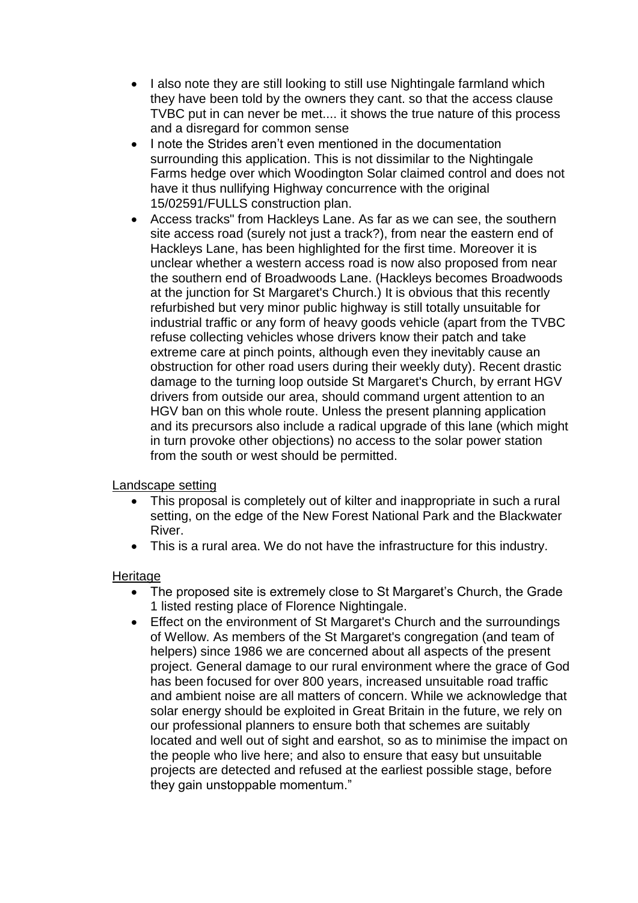- I also note they are still looking to still use Nightingale farmland which they have been told by the owners they cant. so that the access clause TVBC put in can never be met.... it shows the true nature of this process and a disregard for common sense
- I note the Strides aren't even mentioned in the documentation surrounding this application. This is not dissimilar to the Nightingale Farms hedge over which Woodington Solar claimed control and does not have it thus nullifying Highway concurrence with the original 15/02591/FULLS construction plan.
- Access tracks" from Hackleys Lane. As far as we can see, the southern site access road (surely not just a track?), from near the eastern end of Hackleys Lane, has been highlighted for the first time. Moreover it is unclear whether a western access road is now also proposed from near the southern end of Broadwoods Lane. (Hackleys becomes Broadwoods at the junction for St Margaret's Church.) It is obvious that this recently refurbished but very minor public highway is still totally unsuitable for industrial traffic or any form of heavy goods vehicle (apart from the TVBC refuse collecting vehicles whose drivers know their patch and take extreme care at pinch points, although even they inevitably cause an obstruction for other road users during their weekly duty). Recent drastic damage to the turning loop outside St Margaret's Church, by errant HGV drivers from outside our area, should command urgent attention to an HGV ban on this whole route. Unless the present planning application and its precursors also include a radical upgrade of this lane (which might in turn provoke other objections) no access to the solar power station from the south or west should be permitted.

Landscape setting

- This proposal is completely out of kilter and inappropriate in such a rural setting, on the edge of the New Forest National Park and the Blackwater River.
- This is a rural area. We do not have the infrastructure for this industry.

## **Heritage**

- The proposed site is extremely close to St Margaret's Church, the Grade 1 listed resting place of Florence Nightingale.
- Effect on the environment of St Margaret's Church and the surroundings of Wellow. As members of the St Margaret's congregation (and team of helpers) since 1986 we are concerned about all aspects of the present project. General damage to our rural environment where the grace of God has been focused for over 800 years, increased unsuitable road traffic and ambient noise are all matters of concern. While we acknowledge that solar energy should be exploited in Great Britain in the future, we rely on our professional planners to ensure both that schemes are suitably located and well out of sight and earshot, so as to minimise the impact on the people who live here; and also to ensure that easy but unsuitable projects are detected and refused at the earliest possible stage, before they gain unstoppable momentum."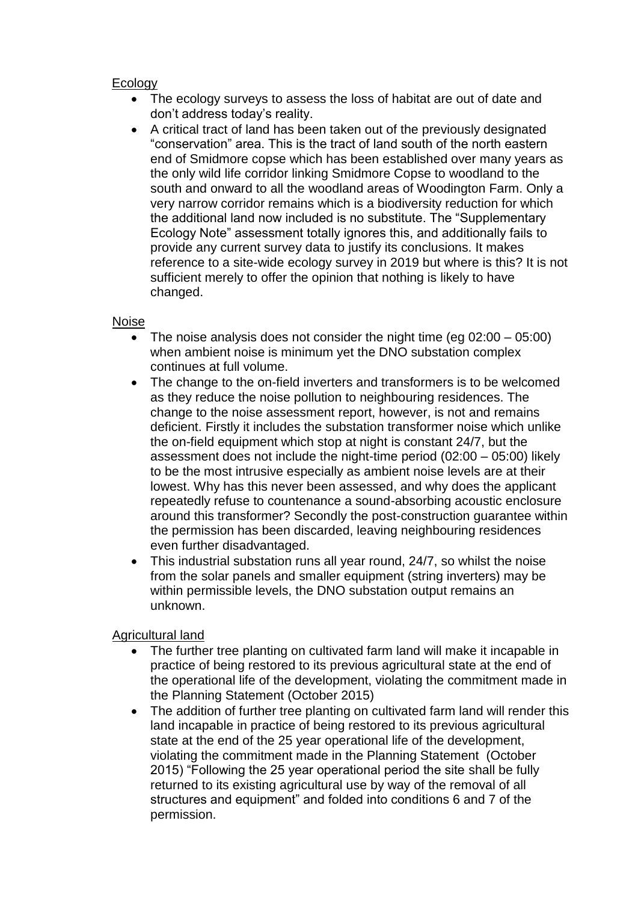## Ecology

- The ecology surveys to assess the loss of habitat are out of date and don't address today's reality.
- A critical tract of land has been taken out of the previously designated "conservation" area. This is the tract of land south of the north eastern end of Smidmore copse which has been established over many years as the only wild life corridor linking Smidmore Copse to woodland to the south and onward to all the woodland areas of Woodington Farm. Only a very narrow corridor remains which is a biodiversity reduction for which the additional land now included is no substitute. The "Supplementary Ecology Note" assessment totally ignores this, and additionally fails to provide any current survey data to justify its conclusions. It makes reference to a site-wide ecology survey in 2019 but where is this? It is not sufficient merely to offer the opinion that nothing is likely to have changed.

## Noise

- The noise analysis does not consider the night time (eg 02:00 05:00) when ambient noise is minimum yet the DNO substation complex continues at full volume.
- The change to the on-field inverters and transformers is to be welcomed as they reduce the noise pollution to neighbouring residences. The change to the noise assessment report, however, is not and remains deficient. Firstly it includes the substation transformer noise which unlike the on-field equipment which stop at night is constant 24/7, but the assessment does not include the night-time period (02:00 – 05:00) likely to be the most intrusive especially as ambient noise levels are at their lowest. Why has this never been assessed, and why does the applicant repeatedly refuse to countenance a sound-absorbing acoustic enclosure around this transformer? Secondly the post-construction guarantee within the permission has been discarded, leaving neighbouring residences even further disadvantaged.
- This industrial substation runs all year round, 24/7, so whilst the noise from the solar panels and smaller equipment (string inverters) may be within permissible levels, the DNO substation output remains an unknown.

Agricultural land

- The further tree planting on cultivated farm land will make it incapable in practice of being restored to its previous agricultural state at the end of the operational life of the development, violating the commitment made in the Planning Statement (October 2015)
- The addition of further tree planting on cultivated farm land will render this land incapable in practice of being restored to its previous agricultural state at the end of the 25 year operational life of the development, violating the commitment made in the Planning Statement (October 2015) "Following the 25 year operational period the site shall be fully returned to its existing agricultural use by way of the removal of all structures and equipment" and folded into conditions 6 and 7 of the permission.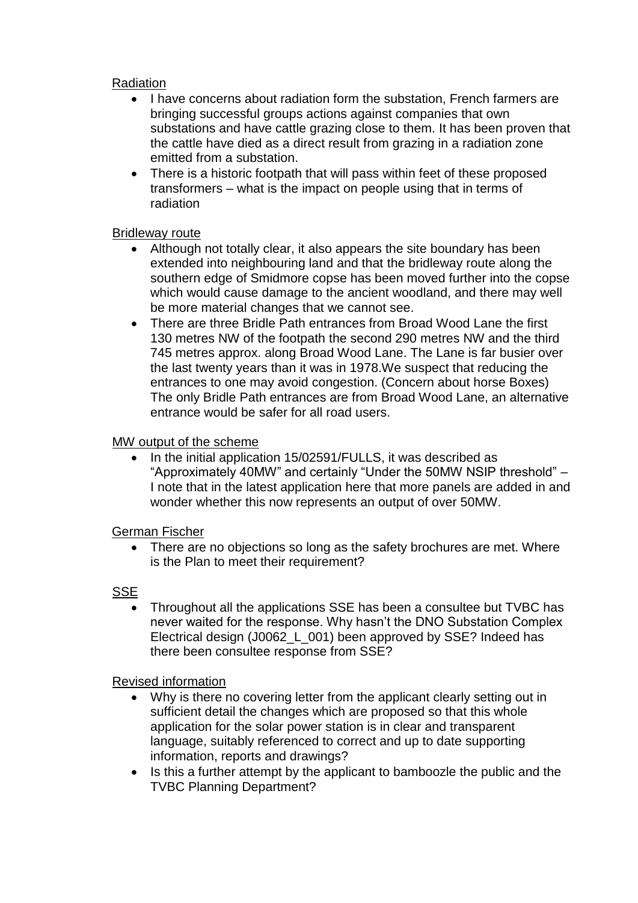## Radiation

- I have concerns about radiation form the substation. French farmers are bringing successful groups actions against companies that own substations and have cattle grazing close to them. It has been proven that the cattle have died as a direct result from grazing in a radiation zone emitted from a substation.
- There is a historic footpath that will pass within feet of these proposed transformers – what is the impact on people using that in terms of radiation

## Bridleway route

- Although not totally clear, it also appears the site boundary has been extended into neighbouring land and that the bridleway route along the southern edge of Smidmore copse has been moved further into the copse which would cause damage to the ancient woodland, and there may well be more material changes that we cannot see.
- There are three Bridle Path entrances from Broad Wood Lane the first 130 metres NW of the footpath the second 290 metres NW and the third 745 metres approx. along Broad Wood Lane. The Lane is far busier over the last twenty years than it was in 1978.We suspect that reducing the entrances to one may avoid congestion. (Concern about horse Boxes) The only Bridle Path entrances are from Broad Wood Lane, an alternative entrance would be safer for all road users.

## MW output of the scheme

 In the initial application 15/02591/FULLS, it was described as "Approximately 40MW" and certainly "Under the 50MW NSIP threshold" – I note that in the latest application here that more panels are added in and wonder whether this now represents an output of over 50MW.

## German Fischer

• There are no objections so long as the safety brochures are met. Where is the Plan to meet their requirement?

# **SSE**

 Throughout all the applications SSE has been a consultee but TVBC has never waited for the response. Why hasn't the DNO Substation Complex Electrical design (J0062\_L\_001) been approved by SSE? Indeed has there been consultee response from SSE?

## Revised information

- Why is there no covering letter from the applicant clearly setting out in sufficient detail the changes which are proposed so that this whole application for the solar power station is in clear and transparent language, suitably referenced to correct and up to date supporting information, reports and drawings?
- Is this a further attempt by the applicant to bamboozle the public and the TVBC Planning Department?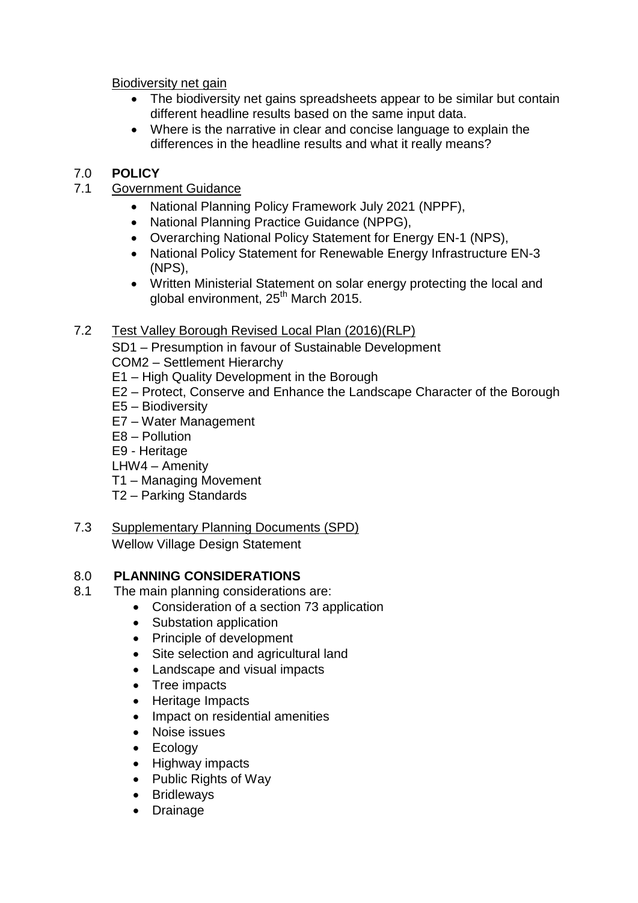Biodiversity net gain

- The biodiversity net gains spreadsheets appear to be similar but contain different headline results based on the same input data.
- Where is the narrative in clear and concise language to explain the differences in the headline results and what it really means?

# 7.0 **POLICY**

# 7.1 Government Guidance

- National Planning Policy Framework July 2021 (NPPF),
- National Planning Practice Guidance (NPPG),
- Overarching National Policy Statement for Energy EN-1 (NPS),
- National Policy Statement for Renewable Energy Infrastructure EN-3 (NPS),
- Written Ministerial Statement on solar energy protecting the local and global environment,  $25<sup>th</sup>$  March 2015.

# 7.2 Test Valley Borough Revised Local Plan (2016)(RLP)

SD1 – Presumption in favour of Sustainable Development

COM2 – Settlement Hierarchy

- E1 High Quality Development in the Borough
- E2 Protect, Conserve and Enhance the Landscape Character of the Borough
- E5 Biodiversity
- E7 Water Management
- E8 Pollution
- E9 Heritage
- LHW4 Amenity
- T1 Managing Movement
- T2 Parking Standards
- 7.3 Supplementary Planning Documents (SPD)

Wellow Village Design Statement

# 8.0 **PLANNING CONSIDERATIONS**

- 8.1 The main planning considerations are:
	- Consideration of a section 73 application
	- Substation application
	- Principle of development
	- Site selection and agricultural land
	- Landscape and visual impacts
	- Tree impacts
	- Heritage Impacts
	- Impact on residential amenities
	- Noise issues
	- Ecology
	- Highway impacts
	- Public Rights of Way
	- Bridleways
	- Drainage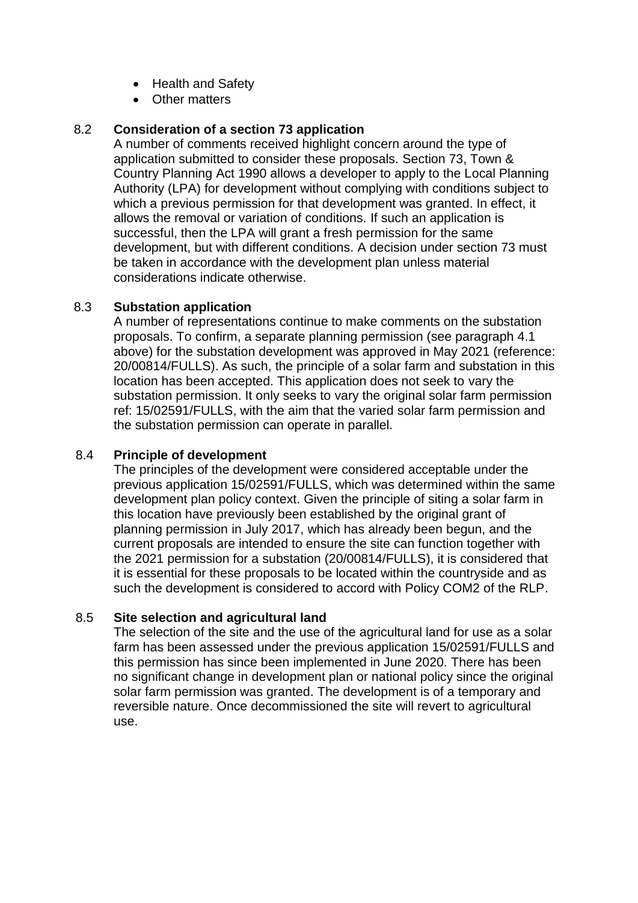- Health and Safety
- Other matters

# 8.2 **Consideration of a section 73 application**

A number of comments received highlight concern around the type of application submitted to consider these proposals. Section 73, Town & Country Planning Act 1990 allows a developer to apply to the Local Planning Authority (LPA) for development without complying with conditions subject to which a previous permission for that development was granted. In effect, it allows the removal or variation of conditions. If such an application is successful, then the LPA will grant a fresh permission for the same development, but with different conditions. A decision under section 73 must be taken in accordance with the development plan unless material considerations indicate otherwise.

# 8.3 **Substation application**

A number of representations continue to make comments on the substation proposals. To confirm, a separate planning permission (see paragraph 4.1 above) for the substation development was approved in May 2021 (reference: 20/00814/FULLS). As such, the principle of a solar farm and substation in this location has been accepted. This application does not seek to vary the substation permission. It only seeks to vary the original solar farm permission ref: 15/02591/FULLS, with the aim that the varied solar farm permission and the substation permission can operate in parallel.

## 8.4 **Principle of development**

The principles of the development were considered acceptable under the previous application 15/02591/FULLS, which was determined within the same development plan policy context. Given the principle of siting a solar farm in this location have previously been established by the original grant of planning permission in July 2017, which has already been begun, and the current proposals are intended to ensure the site can function together with the 2021 permission for a substation (20/00814/FULLS), it is considered that it is essential for these proposals to be located within the countryside and as such the development is considered to accord with Policy COM2 of the RLP.

# 8.5 **Site selection and agricultural land**

The selection of the site and the use of the agricultural land for use as a solar farm has been assessed under the previous application 15/02591/FULLS and this permission has since been implemented in June 2020. There has been no significant change in development plan or national policy since the original solar farm permission was granted. The development is of a temporary and reversible nature. Once decommissioned the site will revert to agricultural use.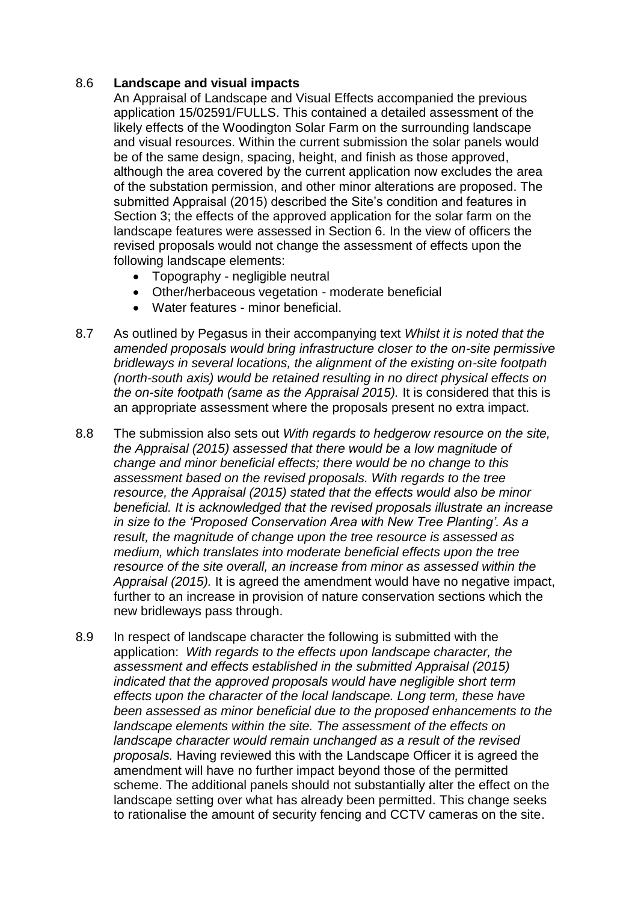## 8.6 **Landscape and visual impacts**

An Appraisal of Landscape and Visual Effects accompanied the previous application 15/02591/FULLS. This contained a detailed assessment of the likely effects of the Woodington Solar Farm on the surrounding landscape and visual resources. Within the current submission the solar panels would be of the same design, spacing, height, and finish as those approved, although the area covered by the current application now excludes the area of the substation permission, and other minor alterations are proposed. The submitted Appraisal (2015) described the Site's condition and features in Section 3; the effects of the approved application for the solar farm on the landscape features were assessed in Section 6. In the view of officers the revised proposals would not change the assessment of effects upon the following landscape elements:

- Topography negligible neutral
- Other/herbaceous vegetation moderate beneficial
- Water features minor beneficial.
- 8.7 As outlined by Pegasus in their accompanying text *Whilst it is noted that the amended proposals would bring infrastructure closer to the on-site permissive bridleways in several locations, the alignment of the existing on-site footpath (north-south axis) would be retained resulting in no direct physical effects on the on-site footpath (same as the Appraisal 2015).* It is considered that this is an appropriate assessment where the proposals present no extra impact.
- 8.8 The submission also sets out *With regards to hedgerow resource on the site, the Appraisal (2015) assessed that there would be a low magnitude of change and minor beneficial effects; there would be no change to this assessment based on the revised proposals. With regards to the tree resource, the Appraisal (2015) stated that the effects would also be minor beneficial. It is acknowledged that the revised proposals illustrate an increase in size to the 'Proposed Conservation Area with New Tree Planting'. As a result, the magnitude of change upon the tree resource is assessed as medium, which translates into moderate beneficial effects upon the tree resource of the site overall, an increase from minor as assessed within the Appraisal (2015).* It is agreed the amendment would have no negative impact, further to an increase in provision of nature conservation sections which the new bridleways pass through.
- 8.9 In respect of landscape character the following is submitted with the application: *With regards to the effects upon landscape character, the assessment and effects established in the submitted Appraisal (2015) indicated that the approved proposals would have negligible short term effects upon the character of the local landscape. Long term, these have been assessed as minor beneficial due to the proposed enhancements to the landscape elements within the site. The assessment of the effects on landscape character would remain unchanged as a result of the revised proposals.* Having reviewed this with the Landscape Officer it is agreed the amendment will have no further impact beyond those of the permitted scheme. The additional panels should not substantially alter the effect on the landscape setting over what has already been permitted. This change seeks to rationalise the amount of security fencing and CCTV cameras on the site.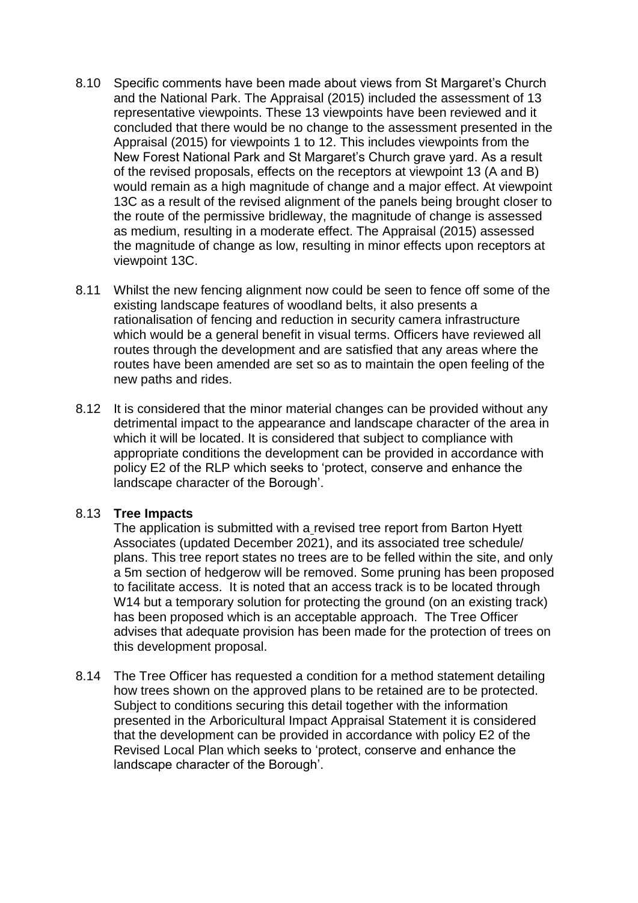- 8.10 Specific comments have been made about views from St Margaret's Church and the National Park. The Appraisal (2015) included the assessment of 13 representative viewpoints. These 13 viewpoints have been reviewed and it concluded that there would be no change to the assessment presented in the Appraisal (2015) for viewpoints 1 to 12. This includes viewpoints from the New Forest National Park and St Margaret's Church grave yard. As a result of the revised proposals, effects on the receptors at viewpoint 13 (A and B) would remain as a high magnitude of change and a major effect. At viewpoint 13C as a result of the revised alignment of the panels being brought closer to the route of the permissive bridleway, the magnitude of change is assessed as medium, resulting in a moderate effect. The Appraisal (2015) assessed the magnitude of change as low, resulting in minor effects upon receptors at viewpoint 13C.
- 8.11 Whilst the new fencing alignment now could be seen to fence off some of the existing landscape features of woodland belts, it also presents a rationalisation of fencing and reduction in security camera infrastructure which would be a general benefit in visual terms. Officers have reviewed all routes through the development and are satisfied that any areas where the routes have been amended are set so as to maintain the open feeling of the new paths and rides.
- 8.12 It is considered that the minor material changes can be provided without any detrimental impact to the appearance and landscape character of the area in which it will be located. It is considered that subject to compliance with appropriate conditions the development can be provided in accordance with policy E2 of the RLP which seeks to 'protect, conserve and enhance the landscape character of the Borough'.

## 8.13 **Tree Impacts**

The application is submitted with a revised tree report from Barton Hyett Associates (updated December 2021), and its associated tree schedule/ plans. This tree report states no trees are to be felled within the site, and only a 5m section of hedgerow will be removed. Some pruning has been proposed to facilitate access. It is noted that an access track is to be located through W<sub>14</sub> but a temporary solution for protecting the ground (on an existing track) has been proposed which is an acceptable approach. The Tree Officer advises that adequate provision has been made for the protection of trees on this development proposal.

8.14 The Tree Officer has requested a condition for a method statement detailing how trees shown on the approved plans to be retained are to be protected. Subject to conditions securing this detail together with the information presented in the Arboricultural Impact Appraisal Statement it is considered that the development can be provided in accordance with policy E2 of the Revised Local Plan which seeks to 'protect, conserve and enhance the landscape character of the Borough'.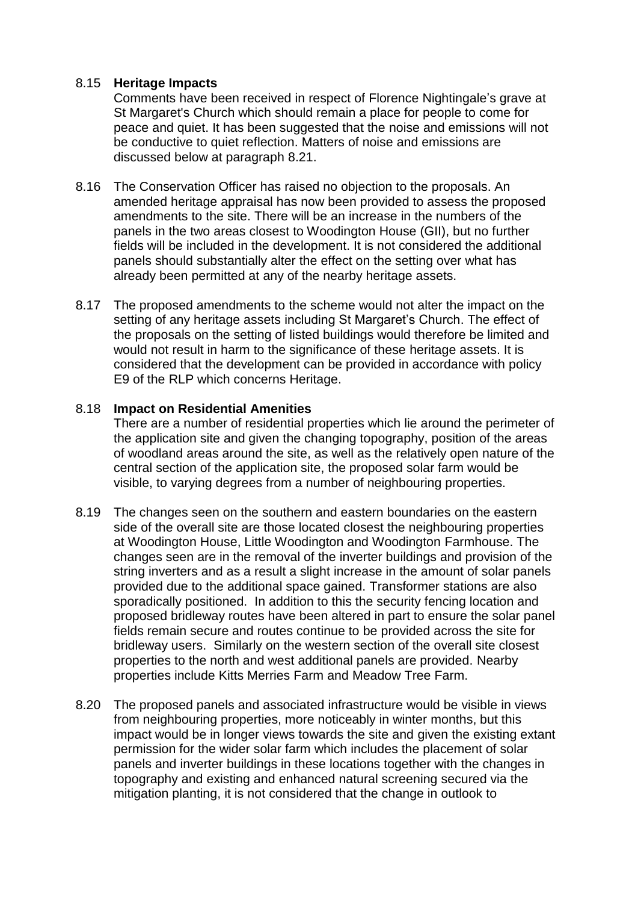## 8.15 **Heritage Impacts**

Comments have been received in respect of Florence Nightingale's grave at St Margaret's Church which should remain a place for people to come for peace and quiet. It has been suggested that the noise and emissions will not be conductive to quiet reflection. Matters of noise and emissions are discussed below at paragraph 8.21.

- 8.16 The Conservation Officer has raised no objection to the proposals. An amended heritage appraisal has now been provided to assess the proposed amendments to the site. There will be an increase in the numbers of the panels in the two areas closest to Woodington House (GII), but no further fields will be included in the development. It is not considered the additional panels should substantially alter the effect on the setting over what has already been permitted at any of the nearby heritage assets.
- 8.17 The proposed amendments to the scheme would not alter the impact on the setting of any heritage assets including St Margaret's Church. The effect of the proposals on the setting of listed buildings would therefore be limited and would not result in harm to the significance of these heritage assets. It is considered that the development can be provided in accordance with policy E9 of the RLP which concerns Heritage.

## 8.18 **Impact on Residential Amenities**

There are a number of residential properties which lie around the perimeter of the application site and given the changing topography, position of the areas of woodland areas around the site, as well as the relatively open nature of the central section of the application site, the proposed solar farm would be visible, to varying degrees from a number of neighbouring properties.

- 8.19 The changes seen on the southern and eastern boundaries on the eastern side of the overall site are those located closest the neighbouring properties at Woodington House, Little Woodington and Woodington Farmhouse. The changes seen are in the removal of the inverter buildings and provision of the string inverters and as a result a slight increase in the amount of solar panels provided due to the additional space gained. Transformer stations are also sporadically positioned. In addition to this the security fencing location and proposed bridleway routes have been altered in part to ensure the solar panel fields remain secure and routes continue to be provided across the site for bridleway users. Similarly on the western section of the overall site closest properties to the north and west additional panels are provided. Nearby properties include Kitts Merries Farm and Meadow Tree Farm.
- 8.20 The proposed panels and associated infrastructure would be visible in views from neighbouring properties, more noticeably in winter months, but this impact would be in longer views towards the site and given the existing extant permission for the wider solar farm which includes the placement of solar panels and inverter buildings in these locations together with the changes in topography and existing and enhanced natural screening secured via the mitigation planting, it is not considered that the change in outlook to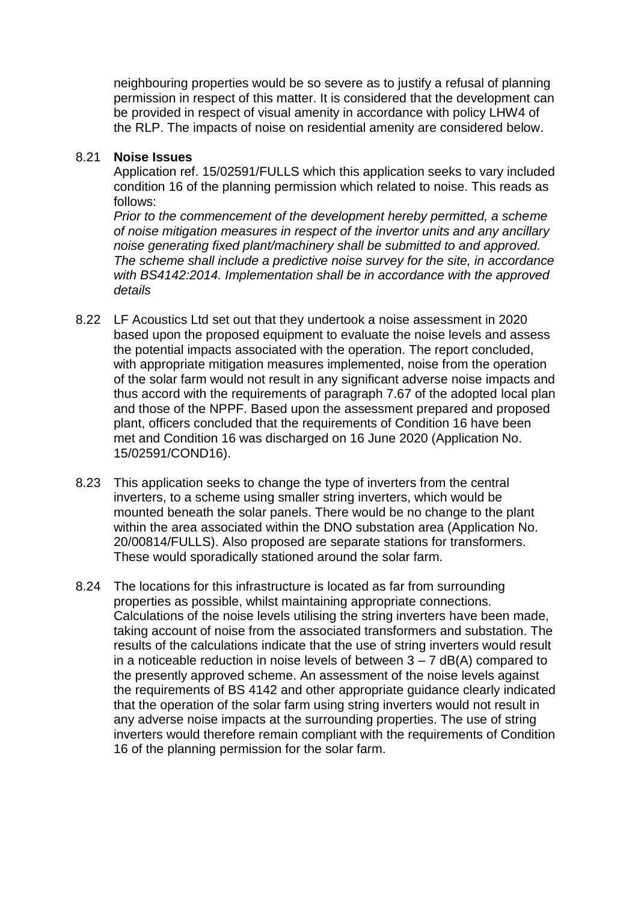neighbouring properties would be so severe as to justify a refusal of planning permission in respect of this matter. It is considered that the development can be provided in respect of visual amenity in accordance with policy LHW4 of the RLP. The impacts of noise on residential amenity are considered below.

#### 8.21 **Noise Issues**

Application ref. 15/02591/FULLS which this application seeks to vary included condition 16 of the planning permission which related to noise. This reads as follows:

*Prior to the commencement of the development hereby permitted, a scheme of noise mitigation measures in respect of the invertor units and any ancillary noise generating fixed plant/machinery shall be submitted to and approved. The scheme shall include a predictive noise survey for the site, in accordance with BS4142:2014. Implementation shall be in accordance with the approved details*

- 8.22 LF Acoustics Ltd set out that they undertook a noise assessment in 2020 based upon the proposed equipment to evaluate the noise levels and assess the potential impacts associated with the operation. The report concluded, with appropriate mitigation measures implemented, noise from the operation of the solar farm would not result in any significant adverse noise impacts and thus accord with the requirements of paragraph 7.67 of the adopted local plan and those of the NPPF. Based upon the assessment prepared and proposed plant, officers concluded that the requirements of Condition 16 have been met and Condition 16 was discharged on 16 June 2020 (Application No. 15/02591/COND16).
- 8.23 This application seeks to change the type of inverters from the central inverters, to a scheme using smaller string inverters, which would be mounted beneath the solar panels. There would be no change to the plant within the area associated within the DNO substation area (Application No. 20/00814/FULLS). Also proposed are separate stations for transformers. These would sporadically stationed around the solar farm.
- 8.24 The locations for this infrastructure is located as far from surrounding properties as possible, whilst maintaining appropriate connections. Calculations of the noise levels utilising the string inverters have been made, taking account of noise from the associated transformers and substation. The results of the calculations indicate that the use of string inverters would result in a noticeable reduction in noise levels of between  $3 - 7$  dB(A) compared to the presently approved scheme. An assessment of the noise levels against the requirements of BS 4142 and other appropriate guidance clearly indicated that the operation of the solar farm using string inverters would not result in any adverse noise impacts at the surrounding properties. The use of string inverters would therefore remain compliant with the requirements of Condition 16 of the planning permission for the solar farm.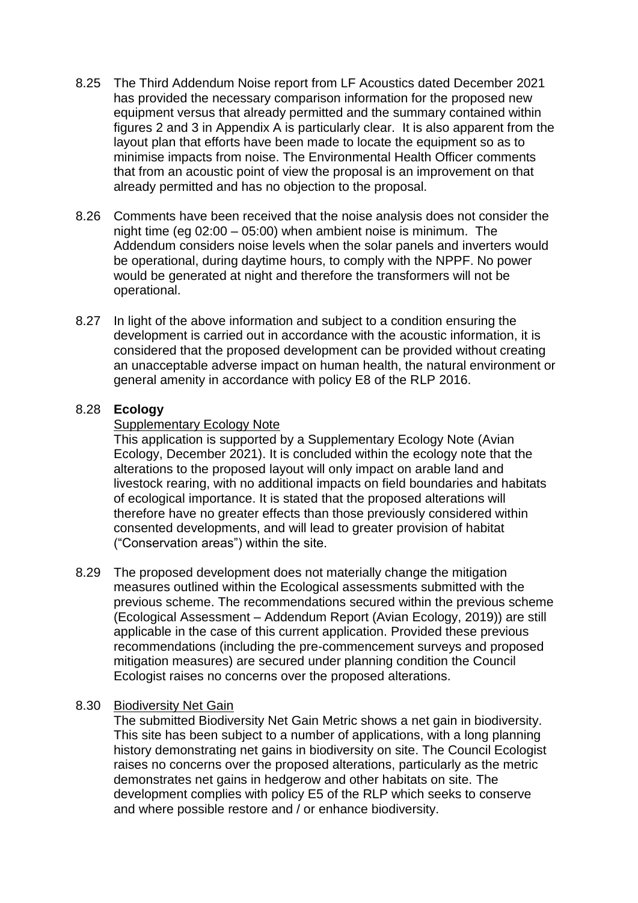- 8.25 The Third Addendum Noise report from LF Acoustics dated December 2021 has provided the necessary comparison information for the proposed new equipment versus that already permitted and the summary contained within figures 2 and 3 in Appendix A is particularly clear. It is also apparent from the layout plan that efforts have been made to locate the equipment so as to minimise impacts from noise. The Environmental Health Officer comments that from an acoustic point of view the proposal is an improvement on that already permitted and has no objection to the proposal.
- 8.26 Comments have been received that the noise analysis does not consider the night time (eg 02:00 – 05:00) when ambient noise is minimum. The Addendum considers noise levels when the solar panels and inverters would be operational, during daytime hours, to comply with the NPPF. No power would be generated at night and therefore the transformers will not be operational.
- 8.27 In light of the above information and subject to a condition ensuring the development is carried out in accordance with the acoustic information, it is considered that the proposed development can be provided without creating an unacceptable adverse impact on human health, the natural environment or general amenity in accordance with policy E8 of the RLP 2016.

## 8.28 **Ecology**

## **Supplementary Ecology Note**

This application is supported by a Supplementary Ecology Note (Avian Ecology, December 2021). It is concluded within the ecology note that the alterations to the proposed layout will only impact on arable land and livestock rearing, with no additional impacts on field boundaries and habitats of ecological importance. It is stated that the proposed alterations will therefore have no greater effects than those previously considered within consented developments, and will lead to greater provision of habitat ("Conservation areas") within the site.

8.29 The proposed development does not materially change the mitigation measures outlined within the Ecological assessments submitted with the previous scheme. The recommendations secured within the previous scheme (Ecological Assessment – Addendum Report (Avian Ecology, 2019)) are still applicable in the case of this current application. Provided these previous recommendations (including the pre-commencement surveys and proposed mitigation measures) are secured under planning condition the Council Ecologist raises no concerns over the proposed alterations.

## 8.30 Biodiversity Net Gain

The submitted Biodiversity Net Gain Metric shows a net gain in biodiversity. This site has been subject to a number of applications, with a long planning history demonstrating net gains in biodiversity on site. The Council Ecologist raises no concerns over the proposed alterations, particularly as the metric demonstrates net gains in hedgerow and other habitats on site. The development complies with policy E5 of the RLP which seeks to conserve and where possible restore and / or enhance biodiversity.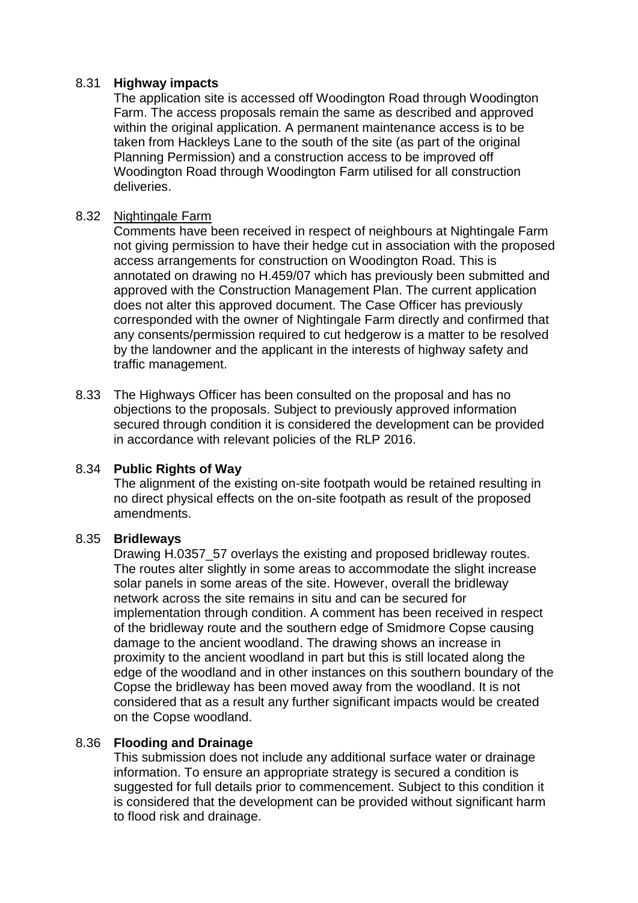## 8.31 **Highway impacts**

The application site is accessed off Woodington Road through Woodington Farm. The access proposals remain the same as described and approved within the original application. A permanent maintenance access is to be taken from Hackleys Lane to the south of the site (as part of the original Planning Permission) and a construction access to be improved off Woodington Road through Woodington Farm utilised for all construction deliveries.

## 8.32 Nightingale Farm

Comments have been received in respect of neighbours at Nightingale Farm not giving permission to have their hedge cut in association with the proposed access arrangements for construction on Woodington Road. This is annotated on drawing no H.459/07 which has previously been submitted and approved with the Construction Management Plan. The current application does not alter this approved document. The Case Officer has previously corresponded with the owner of Nightingale Farm directly and confirmed that any consents/permission required to cut hedgerow is a matter to be resolved by the landowner and the applicant in the interests of highway safety and traffic management.

8.33 The Highways Officer has been consulted on the proposal and has no objections to the proposals. Subject to previously approved information secured through condition it is considered the development can be provided in accordance with relevant policies of the RLP 2016.

## 8.34 **Public Rights of Way**

The alignment of the existing on-site footpath would be retained resulting in no direct physical effects on the on-site footpath as result of the proposed amendments.

## 8.35 **Bridleways**

Drawing H.0357\_57 overlays the existing and proposed bridleway routes. The routes alter slightly in some areas to accommodate the slight increase solar panels in some areas of the site. However, overall the bridleway network across the site remains in situ and can be secured for implementation through condition. A comment has been received in respect of the bridleway route and the southern edge of Smidmore Copse causing damage to the ancient woodland. The drawing shows an increase in proximity to the ancient woodland in part but this is still located along the edge of the woodland and in other instances on this southern boundary of the Copse the bridleway has been moved away from the woodland. It is not considered that as a result any further significant impacts would be created on the Copse woodland.

## 8.36 **Flooding and Drainage**

This submission does not include any additional surface water or drainage information. To ensure an appropriate strategy is secured a condition is suggested for full details prior to commencement. Subject to this condition it is considered that the development can be provided without significant harm to flood risk and drainage.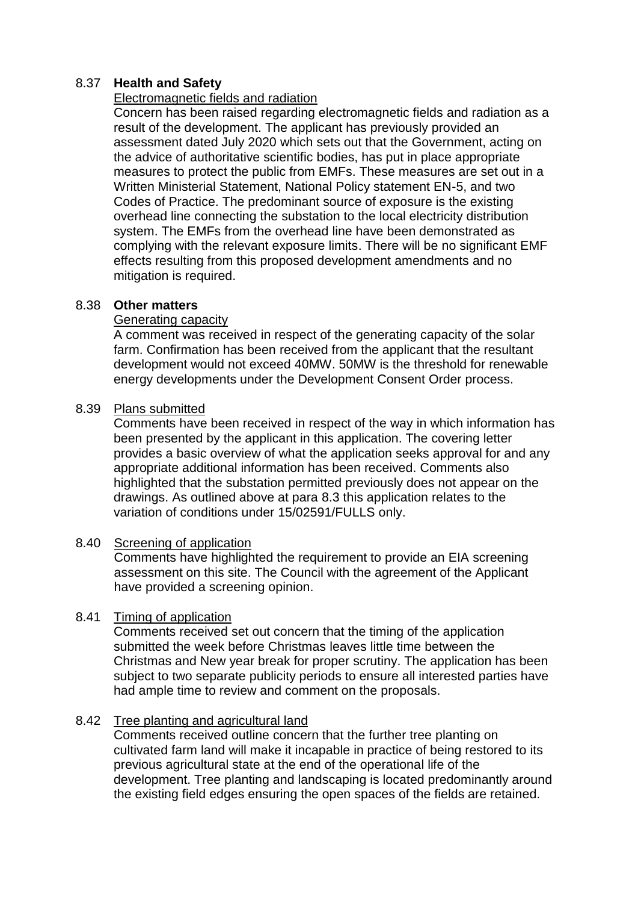## 8.37 **Health and Safety**

## Electromagnetic fields and radiation

Concern has been raised regarding electromagnetic fields and radiation as a result of the development. The applicant has previously provided an assessment dated July 2020 which sets out that the Government, acting on the advice of authoritative scientific bodies, has put in place appropriate measures to protect the public from EMFs. These measures are set out in a Written Ministerial Statement, National Policy statement EN-5, and two Codes of Practice. The predominant source of exposure is the existing overhead line connecting the substation to the local electricity distribution system. The EMFs from the overhead line have been demonstrated as complying with the relevant exposure limits. There will be no significant EMF effects resulting from this proposed development amendments and no mitigation is required.

## 8.38 **Other matters**

## Generating capacity

A comment was received in respect of the generating capacity of the solar farm. Confirmation has been received from the applicant that the resultant development would not exceed 40MW. 50MW is the threshold for renewable energy developments under the Development Consent Order process.

## 8.39 Plans submitted

Comments have been received in respect of the way in which information has been presented by the applicant in this application. The covering letter provides a basic overview of what the application seeks approval for and any appropriate additional information has been received. Comments also highlighted that the substation permitted previously does not appear on the drawings. As outlined above at para 8.3 this application relates to the variation of conditions under 15/02591/FULLS only.

# 8.40 Screening of application

Comments have highlighted the requirement to provide an EIA screening assessment on this site. The Council with the agreement of the Applicant have provided a screening opinion.

# 8.41 Timing of application

Comments received set out concern that the timing of the application submitted the week before Christmas leaves little time between the Christmas and New year break for proper scrutiny. The application has been subject to two separate publicity periods to ensure all interested parties have had ample time to review and comment on the proposals.

# 8.42 Tree planting and agricultural land

Comments received outline concern that the further tree planting on cultivated farm land will make it incapable in practice of being restored to its previous agricultural state at the end of the operational life of the development. Tree planting and landscaping is located predominantly around the existing field edges ensuring the open spaces of the fields are retained.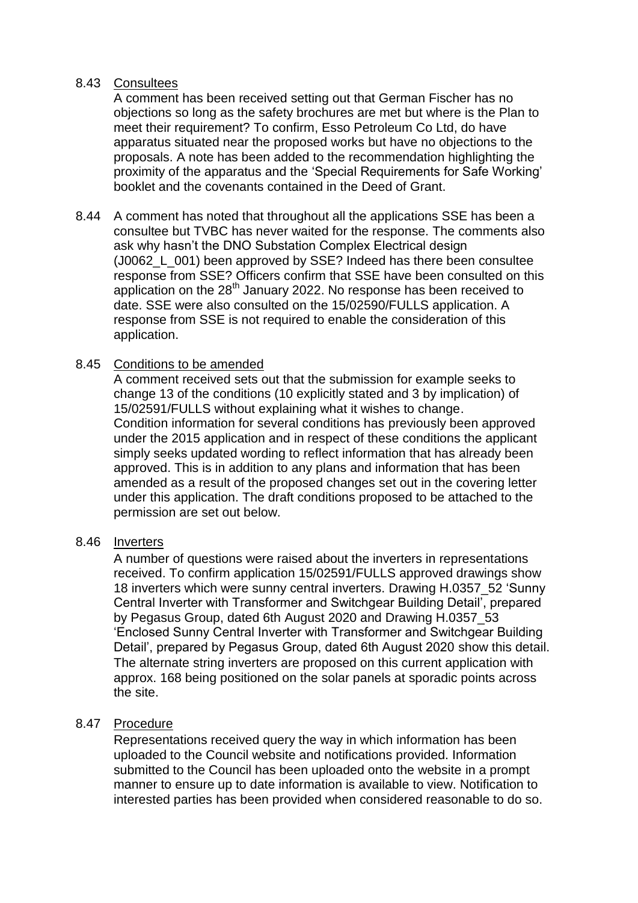## 8.43 Consultees

A comment has been received setting out that German Fischer has no objections so long as the safety brochures are met but where is the Plan to meet their requirement? To confirm, Esso Petroleum Co Ltd, do have apparatus situated near the proposed works but have no objections to the proposals. A note has been added to the recommendation highlighting the proximity of the apparatus and the 'Special Requirements for Safe Working' booklet and the covenants contained in the Deed of Grant.

8.44 A comment has noted that throughout all the applications SSE has been a consultee but TVBC has never waited for the response. The comments also ask why hasn't the DNO Substation Complex Electrical design (J0062 L 001) been approved by SSE? Indeed has there been consultee response from SSE? Officers confirm that SSE have been consulted on this application on the  $28<sup>th</sup>$  January 2022. No response has been received to date. SSE were also consulted on the 15/02590/FULLS application. A response from SSE is not required to enable the consideration of this application.

## 8.45 Conditions to be amended

A comment received sets out that the submission for example seeks to change 13 of the conditions (10 explicitly stated and 3 by implication) of 15/02591/FULLS without explaining what it wishes to change. Condition information for several conditions has previously been approved under the 2015 application and in respect of these conditions the applicant simply seeks updated wording to reflect information that has already been approved. This is in addition to any plans and information that has been amended as a result of the proposed changes set out in the covering letter under this application. The draft conditions proposed to be attached to the permission are set out below.

## 8.46 Inverters

A number of questions were raised about the inverters in representations received. To confirm application 15/02591/FULLS approved drawings show 18 inverters which were sunny central inverters. Drawing H.0357\_52 'Sunny Central Inverter with Transformer and Switchgear Building Detail', prepared by Pegasus Group, dated 6th August 2020 and Drawing H.0357\_53 'Enclosed Sunny Central Inverter with Transformer and Switchgear Building Detail', prepared by Pegasus Group, dated 6th August 2020 show this detail. The alternate string inverters are proposed on this current application with approx. 168 being positioned on the solar panels at sporadic points across the site.

## 8.47 Procedure

Representations received query the way in which information has been uploaded to the Council website and notifications provided. Information submitted to the Council has been uploaded onto the website in a prompt manner to ensure up to date information is available to view. Notification to interested parties has been provided when considered reasonable to do so.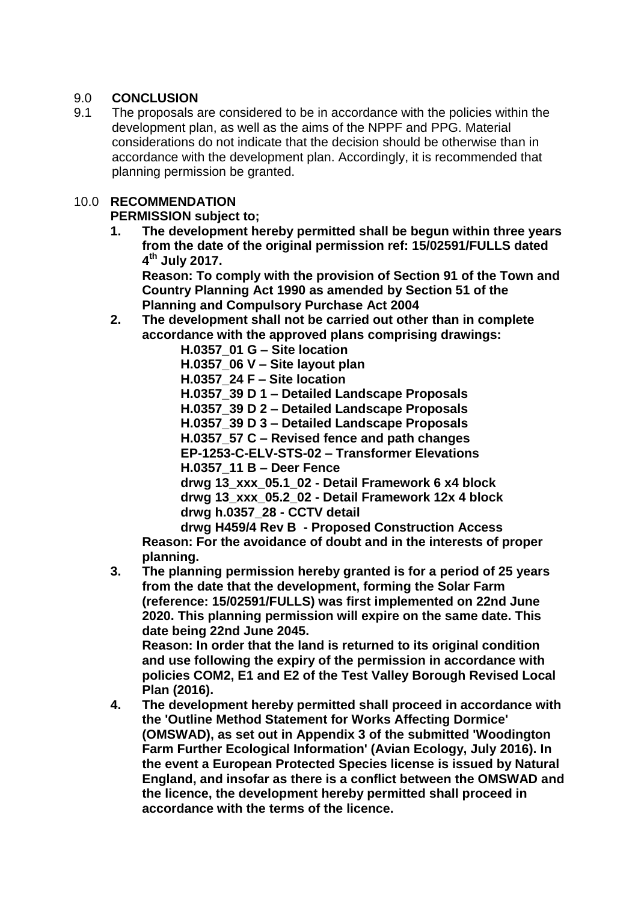# 9.0 **CONCLUSION**

9.1 The proposals are considered to be in accordance with the policies within the development plan, as well as the aims of the NPPF and PPG. Material considerations do not indicate that the decision should be otherwise than in accordance with the development plan. Accordingly, it is recommended that planning permission be granted.

# 10.0 **RECOMMENDATION**

# **PERMISSION subject to;**

**1. The development hereby permitted shall be begun within three years from the date of the original permission ref: 15/02591/FULLS dated 4 th July 2017.**

**Reason: To comply with the provision of Section 91 of the Town and Country Planning Act 1990 as amended by Section 51 of the Planning and Compulsory Purchase Act 2004**

**2. The development shall not be carried out other than in complete accordance with the approved plans comprising drawings:**

**H.0357\_01 G – Site location H.0357\_06 V – Site layout plan H.0357\_24 F – Site location H.0357\_39 D 1 – Detailed Landscape Proposals H.0357\_39 D 2 – Detailed Landscape Proposals H.0357\_39 D 3 – Detailed Landscape Proposals H.0357\_57 C – Revised fence and path changes EP-1253-C-ELV-STS-02 – Transformer Elevations H.0357\_11 B – Deer Fence drwg 13\_xxx\_05.1\_02 - Detail Framework 6 x4 block drwg 13\_xxx\_05.2\_02 - Detail Framework 12x 4 block drwg h.0357\_28 - CCTV detail** 

**drwg H459/4 Rev B - Proposed Construction Access Reason: For the avoidance of doubt and in the interests of proper planning.**

**3. The planning permission hereby granted is for a period of 25 years from the date that the development, forming the Solar Farm (reference: 15/02591/FULLS) was first implemented on 22nd June 2020. This planning permission will expire on the same date. This date being 22nd June 2045.**

**Reason: In order that the land is returned to its original condition and use following the expiry of the permission in accordance with policies COM2, E1 and E2 of the Test Valley Borough Revised Local Plan (2016).**

**4. The development hereby permitted shall proceed in accordance with the 'Outline Method Statement for Works Affecting Dormice' (OMSWAD), as set out in Appendix 3 of the submitted 'Woodington Farm Further Ecological Information' (Avian Ecology, July 2016). In the event a European Protected Species license is issued by Natural England, and insofar as there is a conflict between the OMSWAD and the licence, the development hereby permitted shall proceed in accordance with the terms of the licence.**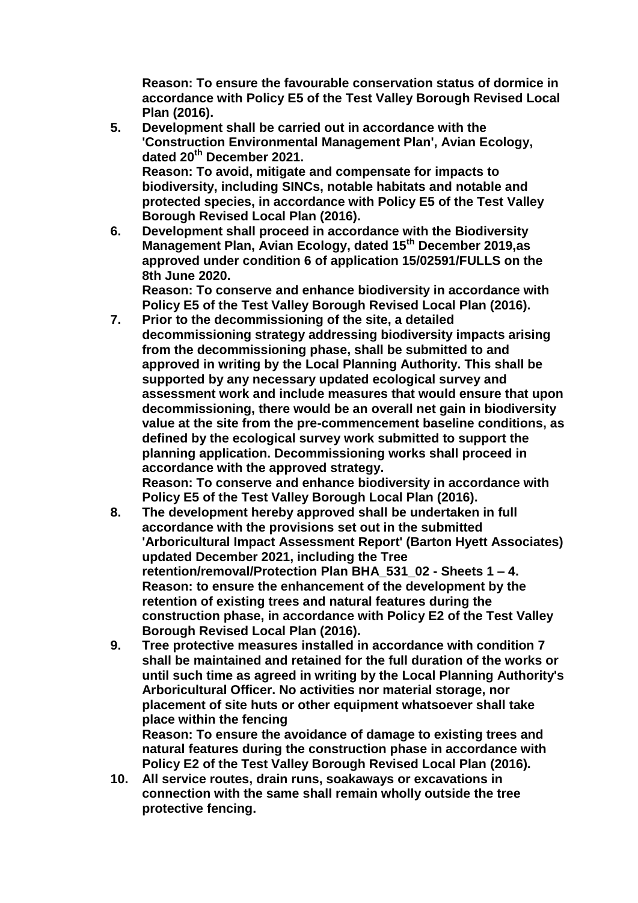**Reason: To ensure the favourable conservation status of dormice in accordance with Policy E5 of the Test Valley Borough Revised Local Plan (2016).**

- **5. Development shall be carried out in accordance with the 'Construction Environmental Management Plan', Avian Ecology, dated 20th December 2021. Reason: To avoid, mitigate and compensate for impacts to biodiversity, including SINCs, notable habitats and notable and protected species, in accordance with Policy E5 of the Test Valley Borough Revised Local Plan (2016).**
- **6. Development shall proceed in accordance with the Biodiversity Management Plan, Avian Ecology, dated 15th December 2019,as approved under condition 6 of application 15/02591/FULLS on the 8th June 2020.**

**Reason: To conserve and enhance biodiversity in accordance with Policy E5 of the Test Valley Borough Revised Local Plan (2016).**

- **7. Prior to the decommissioning of the site, a detailed decommissioning strategy addressing biodiversity impacts arising from the decommissioning phase, shall be submitted to and approved in writing by the Local Planning Authority. This shall be supported by any necessary updated ecological survey and assessment work and include measures that would ensure that upon decommissioning, there would be an overall net gain in biodiversity value at the site from the pre-commencement baseline conditions, as defined by the ecological survey work submitted to support the planning application. Decommissioning works shall proceed in accordance with the approved strategy. Reason: To conserve and enhance biodiversity in accordance with Policy E5 of the Test Valley Borough Local Plan (2016).**
- **8. The development hereby approved shall be undertaken in full accordance with the provisions set out in the submitted 'Arboricultural Impact Assessment Report' (Barton Hyett Associates) updated December 2021, including the Tree retention/removal/Protection Plan BHA\_531\_02 - Sheets 1 – 4. Reason: to ensure the enhancement of the development by the retention of existing trees and natural features during the construction phase, in accordance with Policy E2 of the Test Valley Borough Revised Local Plan (2016).**
- **9. Tree protective measures installed in accordance with condition 7 shall be maintained and retained for the full duration of the works or until such time as agreed in writing by the Local Planning Authority's Arboricultural Officer. No activities nor material storage, nor placement of site huts or other equipment whatsoever shall take place within the fencing Reason: To ensure the avoidance of damage to existing trees and natural features during the construction phase in accordance with**

**Policy E2 of the Test Valley Borough Revised Local Plan (2016). 10. All service routes, drain runs, soakaways or excavations in connection with the same shall remain wholly outside the tree protective fencing.**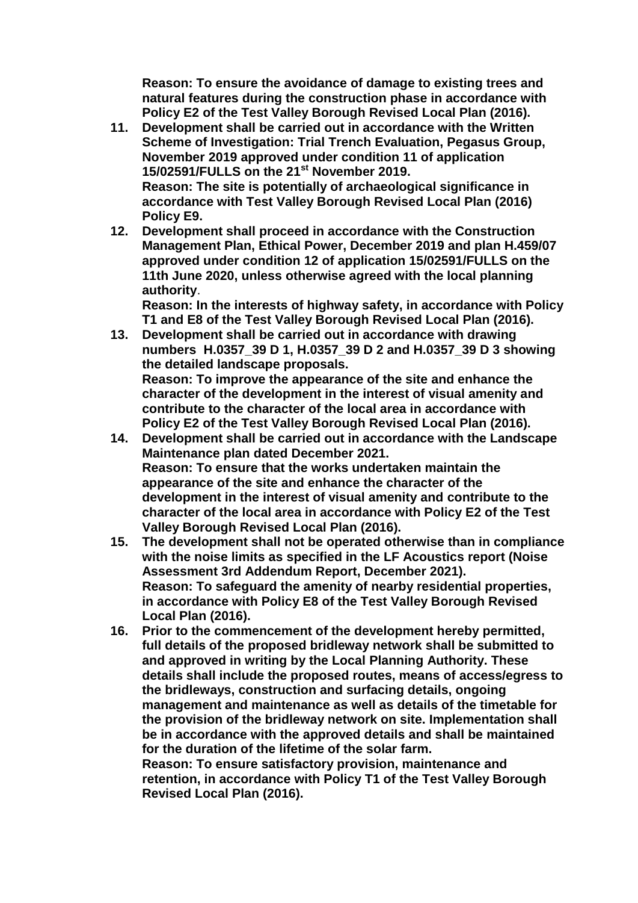**Reason: To ensure the avoidance of damage to existing trees and natural features during the construction phase in accordance with Policy E2 of the Test Valley Borough Revised Local Plan (2016).**

- **11. Development shall be carried out in accordance with the Written Scheme of Investigation: Trial Trench Evaluation, Pegasus Group, November 2019 approved under condition 11 of application 15/02591/FULLS on the 21st November 2019. Reason: The site is potentially of archaeological significance in accordance with Test Valley Borough Revised Local Plan (2016) Policy E9.**
- **12. Development shall proceed in accordance with the Construction Management Plan, Ethical Power, December 2019 and plan H.459/07 approved under condition 12 of application 15/02591/FULLS on the 11th June 2020, unless otherwise agreed with the local planning authority**.

**Reason: In the interests of highway safety, in accordance with Policy T1 and E8 of the Test Valley Borough Revised Local Plan (2016).**

- **13. Development shall be carried out in accordance with drawing numbers H.0357\_39 D 1, H.0357\_39 D 2 and H.0357\_39 D 3 showing the detailed landscape proposals. Reason: To improve the appearance of the site and enhance the character of the development in the interest of visual amenity and contribute to the character of the local area in accordance with Policy E2 of the Test Valley Borough Revised Local Plan (2016).**
- **14. Development shall be carried out in accordance with the Landscape Maintenance plan dated December 2021. Reason: To ensure that the works undertaken maintain the appearance of the site and enhance the character of the development in the interest of visual amenity and contribute to the character of the local area in accordance with Policy E2 of the Test Valley Borough Revised Local Plan (2016).**
- **15. The development shall not be operated otherwise than in compliance with the noise limits as specified in the LF Acoustics report (Noise Assessment 3rd Addendum Report, December 2021). Reason: To safeguard the amenity of nearby residential properties, in accordance with Policy E8 of the Test Valley Borough Revised Local Plan (2016).**
- **16. Prior to the commencement of the development hereby permitted, full details of the proposed bridleway network shall be submitted to and approved in writing by the Local Planning Authority. These details shall include the proposed routes, means of access/egress to the bridleways, construction and surfacing details, ongoing management and maintenance as well as details of the timetable for the provision of the bridleway network on site. Implementation shall be in accordance with the approved details and shall be maintained for the duration of the lifetime of the solar farm. Reason: To ensure satisfactory provision, maintenance and retention, in accordance with Policy T1 of the Test Valley Borough Revised Local Plan (2016).**